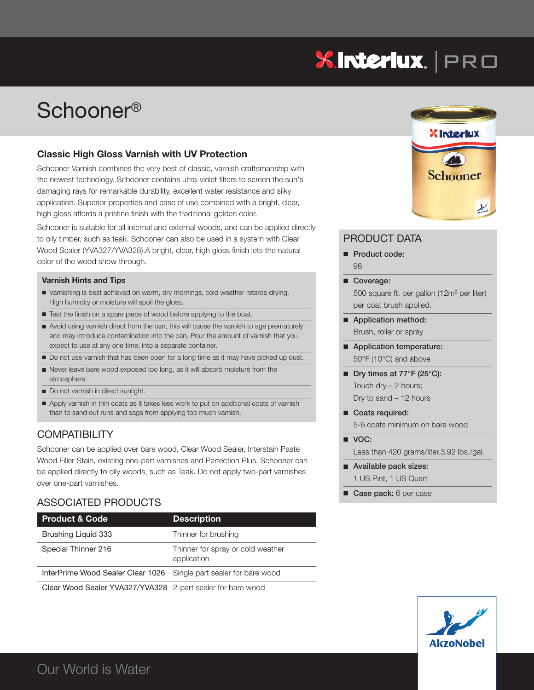# **XInteriux.** | PRO

# Schooner®

### **Classic High Gloss Varnish with UV Protection**

Schooner Varnish combines the very best of classic, varnish craftsmanship with the newest technology. Schooner contains ultra-violet filters to screen the sun's damaging rays for remarkable durability, excellent water resistance and silky application. Superior properties and ease of use combined with a bright, clear, high gloss affords a pristine finish with the traditional golden color.

Schooner is suitable for all internal and external woods, and can be applied directly to oily timber, such as teak. Schooner can also be used in a system with Clear Wood Sealer (YVA327/YVA328).A bright, clear, high gloss finish lets the natural color of the wood show through.

#### **Varnish Hints and Tips**

- n Varnishing is best achieved on warm, dry mornings, cold weather retards drying. High humidity or moisture will spoil the gloss.
- Test the finish on a spare piece of wood before applying to the boat.
- n Avoid using varnish direct from the can, this will cause the varnish to age prematurely and may introduce contamination into the can. Pour the amount of varnish that you expect to use at any one time, into a separate container.
- Do not use varnish that has been open for a long time as it may have picked up dust.
- n Never leave bare wood exposed too long, as it will absorb moisture from the atmosphere.
- Do not varnish in direct sunlight.
- n Apply varnish in thin coats as it takes less work to put on additional coats of varnish than to sand out runs and sags from applying too much varnish.

## **COMPATIBILITY**

Schooner can be applied over bare wood, Clear Wood Sealer, Interstain Paste Wood Filler Stain, existing one-part varnishes and Perfection Plus. Schooner can be applied directly to oily woods, such as Teak. Do not apply two-part varnishes over one-part varnishes.

# ASSOCIATED PRODUCTS

| <b>Product &amp; Code</b>                                          | <b>Description</b>                               |
|--------------------------------------------------------------------|--------------------------------------------------|
| Brushing Liguid 333                                                | Thinner for brushing                             |
| Special Thinner 216                                                | Thinner for spray or cold weather<br>application |
| InterPrime Wood Sealer Clear 1026 Single part sealer for bare wood |                                                  |

Clear Wood Sealer YVA327/YVA328 2-part sealer for bare wood



### PRODUCT DATA

- **n** Product code: 96
- Coverage: 500 square ft. per gallon (12m² per liter) per coat brush applied.
- Application method: Brush, roller or spray
- Application temperature: 50°F (10°C) and above
- Dry times at 77°F (25°C): Touch dry – 2 hours; Dry to sand – 12 hours
- Coats required: 5-6 coats minimum on bare wood
- **VOC:** Less than 420 grams/liter.3.92 lbs./gal.
- Available pack sizes: 1 US Pint, 1 US Quart
- **n** Case pack: 6 per case